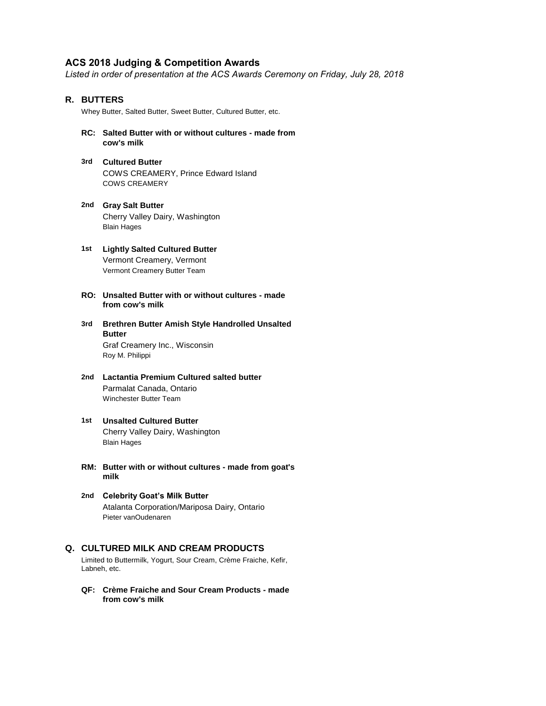# **ACS 2018 Judging & Competition Awards**

*Listed in order of presentation at the ACS Awards Ceremony on Friday, July 28, 2018*

# **R. BUTTERS**

Whey Butter, Salted Butter, Sweet Butter, Cultured Butter, etc.

- **RC: Salted Butter with or without cultures made from cow's milk**
- **3rd Cultured Butter** COWS CREAMERY, Prince Edward Island COWS CREAMERY
- **2nd Gray Salt Butter** Cherry Valley Dairy, Washington Blain Hages
- **1st Lightly Salted Cultured Butter** Vermont Creamery, Vermont Vermont Creamery Butter Team
- **RO: Unsalted Butter with or without cultures made from cow's milk**
- **3rd Brethren Butter Amish Style Handrolled Unsalted**  Graf Creamery Inc., Wisconsin **Butter** Roy M. Philippi
- **2nd Lactantia Premium Cultured salted butter** Parmalat Canada, Ontario Winchester Butter Team
- **1st Unsalted Cultured Butter** Cherry Valley Dairy, Washington Blain Hages
- **RM: Butter with or without cultures made from goat's milk**
- **2nd Celebrity Goat's Milk Butter** Atalanta Corporation/Mariposa Dairy, Ontario Pieter vanOudenaren

# **Q. CULTURED MILK AND CREAM PRODUCTS**

Limited to Buttermilk, Yogurt, Sour Cream, Crème Fraiche, Kefir, Labneh, etc.

**QF: Crème Fraiche and Sour Cream Products - made from cow's milk**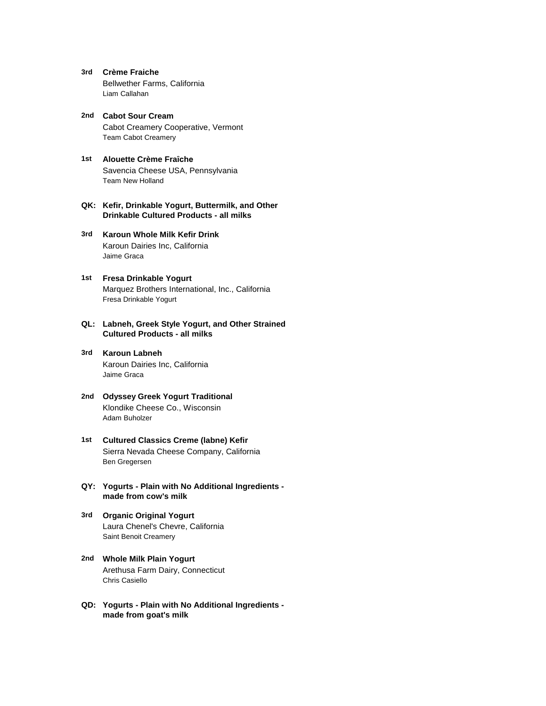- **3rd Crème Fraiche** Bellwether Farms, California Liam Callahan
- **2nd Cabot Sour Cream** Cabot Creamery Cooperative, Vermont Team Cabot Creamery
- **1st Alouette Crème Fraȋche** Savencia Cheese USA, Pennsylvania Team New Holland
- **QK: Kefir, Drinkable Yogurt, Buttermilk, and Other Drinkable Cultured Products - all milks**
- **3rd Karoun Whole Milk Kefir Drink** Karoun Dairies Inc, California Jaime Graca
- **1st Fresa Drinkable Yogurt** Marquez Brothers International, Inc., California Fresa Drinkable Yogurt
- **QL: Labneh, Greek Style Yogurt, and Other Strained Cultured Products - all milks**
- **3rd Karoun Labneh** Karoun Dairies Inc, California Jaime Graca
- **2nd Odyssey Greek Yogurt Traditional** Klondike Cheese Co., Wisconsin Adam Buholzer
- **1st Cultured Classics Creme (labne) Kefir** Sierra Nevada Cheese Company, California Ben Gregersen
- **QY: Yogurts Plain with No Additional Ingredients made from cow's milk**
- **3rd Organic Original Yogurt** Laura Chenel's Chevre, California Saint Benoit Creamery
- **2nd Whole Milk Plain Yogurt** Arethusa Farm Dairy, Connecticut Chris Casiello
- **QD: Yogurts Plain with No Additional Ingredients made from goat's milk**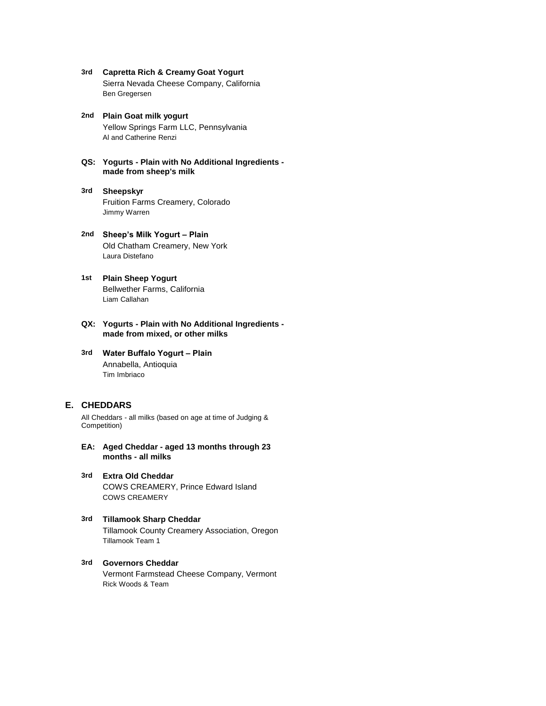- **3rd Capretta Rich & Creamy Goat Yogurt** Sierra Nevada Cheese Company, California Ben Gregersen
- **2nd Plain Goat milk yogurt** Yellow Springs Farm LLC, Pennsylvania Al and Catherine Renzi
- **QS: Yogurts Plain with No Additional Ingredients made from sheep's milk**
- **3rd Sheepskyr** Fruition Farms Creamery, Colorado Jimmy Warren
- **2nd Sheep's Milk Yogurt Plain** Old Chatham Creamery, New York Laura Distefano
- **1st Plain Sheep Yogurt** Bellwether Farms, California Liam Callahan
- **QX: Yogurts Plain with No Additional Ingredients made from mixed, or other milks**
- **3rd Water Buffalo Yogurt Plain** Annabella, Antioquia Tim Imbriaco

# **E. CHEDDARS**

All Cheddars - all milks (based on age at time of Judging & Competition)

- **EA: Aged Cheddar aged 13 months through 23 months - all milks**
- **3rd Extra Old Cheddar** COWS CREAMERY, Prince Edward Island COWS CREAMERY

#### **3rd Tillamook Sharp Cheddar** Tillamook County Creamery Association, Oregon Tillamook Team 1

# **3rd Governors Cheddar**

Vermont Farmstead Cheese Company, Vermont Rick Woods & Team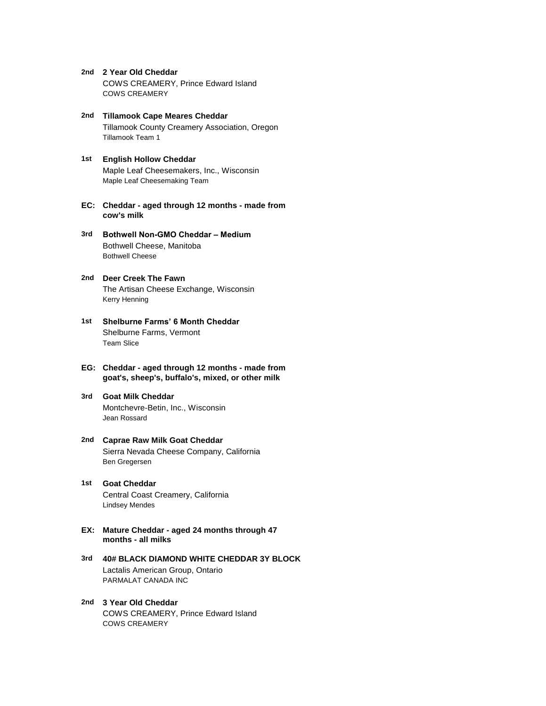- **2nd 2 Year Old Cheddar** COWS CREAMERY, Prince Edward Island COWS CREAMERY
- **2nd Tillamook Cape Meares Cheddar** Tillamook County Creamery Association, Oregon Tillamook Team 1
- **1st English Hollow Cheddar** Maple Leaf Cheesemakers, Inc., Wisconsin Maple Leaf Cheesemaking Team
- **EC: Cheddar aged through 12 months made from cow's milk**
- **3rd Bothwell Non-GMO Cheddar Medium** Bothwell Cheese, Manitoba Bothwell Cheese
- **2nd Deer Creek The Fawn** The Artisan Cheese Exchange, Wisconsin Kerry Henning
- **1st Shelburne Farms' 6 Month Cheddar** Shelburne Farms, Vermont Team Slice
- **EG: Cheddar aged through 12 months made from goat's, sheep's, buffalo's, mixed, or other milk**
- **3rd Goat Milk Cheddar** Montchevre-Betin, Inc., Wisconsin Jean Rossard
- **2nd Caprae Raw Milk Goat Cheddar** Sierra Nevada Cheese Company, California Ben Gregersen
- **1st Goat Cheddar** Central Coast Creamery, California Lindsey Mendes
- **EX: Mature Cheddar aged 24 months through 47 months - all milks**
- **3rd 40# BLACK DIAMOND WHITE CHEDDAR 3Y BLOCK** Lactalis American Group, Ontario PARMALAT CANADA INC
- **2nd 3 Year Old Cheddar** COWS CREAMERY, Prince Edward Island COWS CREAMERY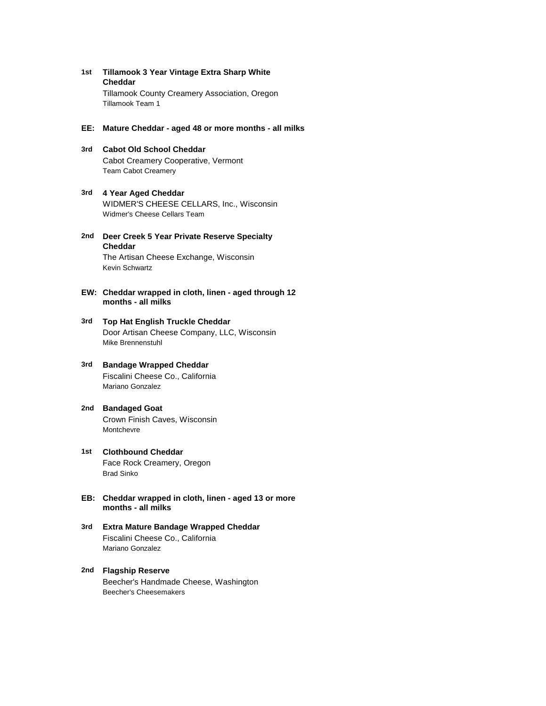- **1st Tillamook 3 Year Vintage Extra Sharp White**  Tillamook County Creamery Association, Oregon **Cheddar** Tillamook Team 1
- **EE: Mature Cheddar aged 48 or more months all milks**
- **3rd Cabot Old School Cheddar** Cabot Creamery Cooperative, Vermont Team Cabot Creamery
- **3rd 4 Year Aged Cheddar** WIDMER'S CHEESE CELLARS, Inc., Wisconsin Widmer's Cheese Cellars Team
- **2nd Deer Creek 5 Year Private Reserve Specialty**  The Artisan Cheese Exchange, Wisconsin **Cheddar** Kevin Schwartz
- **EW: Cheddar wrapped in cloth, linen aged through 12 months - all milks**
- **3rd Top Hat English Truckle Cheddar** Door Artisan Cheese Company, LLC, Wisconsin Mike Brennenstuhl
- **3rd Bandage Wrapped Cheddar** Fiscalini Cheese Co., California Mariano Gonzalez
- **2nd Bandaged Goat** Crown Finish Caves, Wisconsin Montchevre
- **1st Clothbound Cheddar** Face Rock Creamery, Oregon Brad Sinko
- **EB: Cheddar wrapped in cloth, linen aged 13 or more months - all milks**
- **3rd Extra Mature Bandage Wrapped Cheddar** Fiscalini Cheese Co., California Mariano Gonzalez
- **2nd Flagship Reserve** Beecher's Handmade Cheese, Washington Beecher's Cheesemakers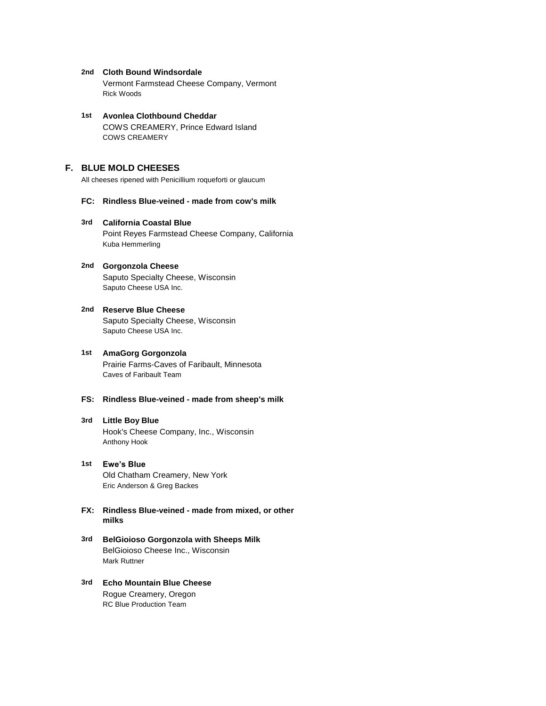#### **2nd Cloth Bound Windsordale**

Vermont Farmstead Cheese Company, Vermont Rick Woods

#### **1st Avonlea Clothbound Cheddar** COWS CREAMERY, Prince Edward Island COWS CREAMERY

# **F. BLUE MOLD CHEESES**

All cheeses ripened with Penicillium roqueforti or glaucum

#### **FC: Rindless Blue-veined - made from cow's milk**

#### **3rd California Coastal Blue**

Point Reyes Farmstead Cheese Company, California Kuba Hemmerling

#### **2nd Gorgonzola Cheese** Saputo Specialty Cheese, Wisconsin Saputo Cheese USA Inc.

#### **2nd Reserve Blue Cheese**

Saputo Specialty Cheese, Wisconsin Saputo Cheese USA Inc.

# **1st AmaGorg Gorgonzola** Prairie Farms-Caves of Faribault, Minnesota Caves of Faribault Team

# **FS: Rindless Blue-veined - made from sheep's milk**

# **3rd Little Boy Blue** Hook's Cheese Company, Inc., Wisconsin Anthony Hook

# **1st Ewe's Blue** Old Chatham Creamery, New York Eric Anderson & Greg Backes

- **FX: Rindless Blue-veined made from mixed, or other milks**
- **3rd BelGioioso Gorgonzola with Sheeps Milk** BelGioioso Cheese Inc., Wisconsin Mark Ruttner
- **3rd Echo Mountain Blue Cheese** Rogue Creamery, Oregon RC Blue Production Team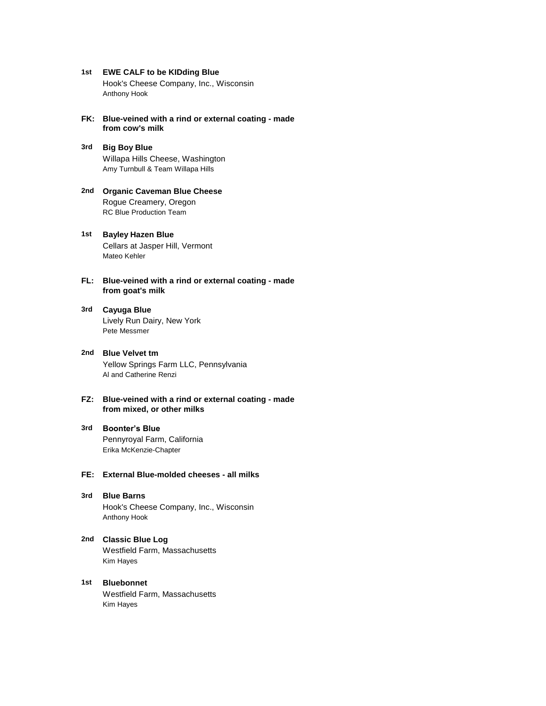- **1st EWE CALF to be KIDding Blue** Hook's Cheese Company, Inc., Wisconsin Anthony Hook
- **FK: Blue-veined with a rind or external coating made from cow's milk**
- **3rd Big Boy Blue** Willapa Hills Cheese, Washington Amy Turnbull & Team Willapa Hills
- **2nd Organic Caveman Blue Cheese** Rogue Creamery, Oregon RC Blue Production Team
- **1st Bayley Hazen Blue** Cellars at Jasper Hill, Vermont Mateo Kehler
- **FL: Blue-veined with a rind or external coating made from goat's milk**
- **3rd Cayuga Blue** Lively Run Dairy, New York Pete Messmer
- **2nd Blue Velvet tm** Yellow Springs Farm LLC, Pennsylvania Al and Catherine Renzi
- **FZ: Blue-veined with a rind or external coating made from mixed, or other milks**
- **3rd Boonter's Blue** Pennyroyal Farm, California Erika McKenzie-Chapter

# **FE: External Blue-molded cheeses - all milks**

- **3rd Blue Barns** Hook's Cheese Company, Inc., Wisconsin Anthony Hook
- **2nd Classic Blue Log** Westfield Farm, Massachusetts Kim Hayes
- **1st Bluebonnet** Westfield Farm, Massachusetts Kim Hayes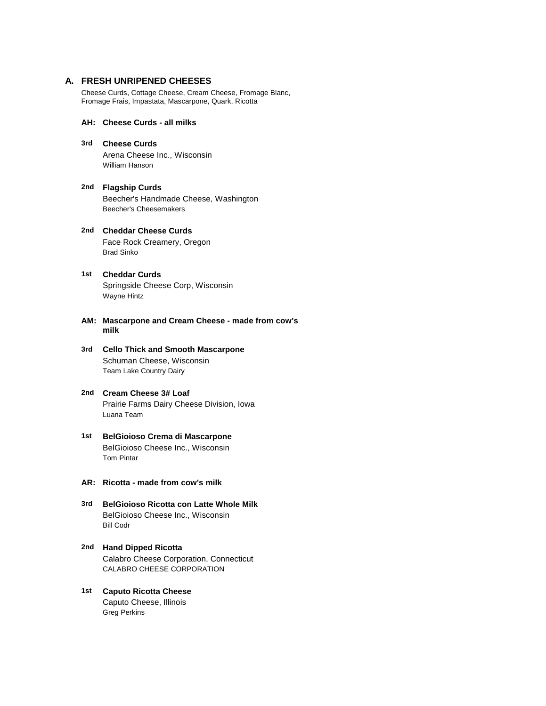#### **A. FRESH UNRIPENED CHEESES**

Cheese Curds, Cottage Cheese, Cream Cheese, Fromage Blanc, Fromage Frais, Impastata, Mascarpone, Quark, Ricotta

# **AH: Cheese Curds - all milks**

- **3rd Cheese Curds** Arena Cheese Inc., Wisconsin William Hanson
- **2nd Flagship Curds** Beecher's Handmade Cheese, Washington Beecher's Cheesemakers
- **2nd Cheddar Cheese Curds** Face Rock Creamery, Oregon Brad Sinko
- **1st** Springside Cheese Corp, Wisconsin **Cheddar Curds** Wayne Hintz
- **AM: Mascarpone and Cream Cheese made from cow's milk**
- **3rd Cello Thick and Smooth Mascarpone** Schuman Cheese, Wisconsin Team Lake Country Dairy
- **2nd Cream Cheese 3# Loaf** Prairie Farms Dairy Cheese Division, Iowa Luana Team
- **1st BelGioioso Crema di Mascarpone** BelGioioso Cheese Inc., Wisconsin Tom Pintar
- **AR: Ricotta made from cow's milk**
- **3rd BelGioioso Ricotta con Latte Whole Milk** BelGioioso Cheese Inc., Wisconsin Bill Codr
- **2nd Hand Dipped Ricotta** Calabro Cheese Corporation, Connecticut CALABRO CHEESE CORPORATION
- **1st Caputo Ricotta Cheese** Caputo Cheese, Illinois Greg Perkins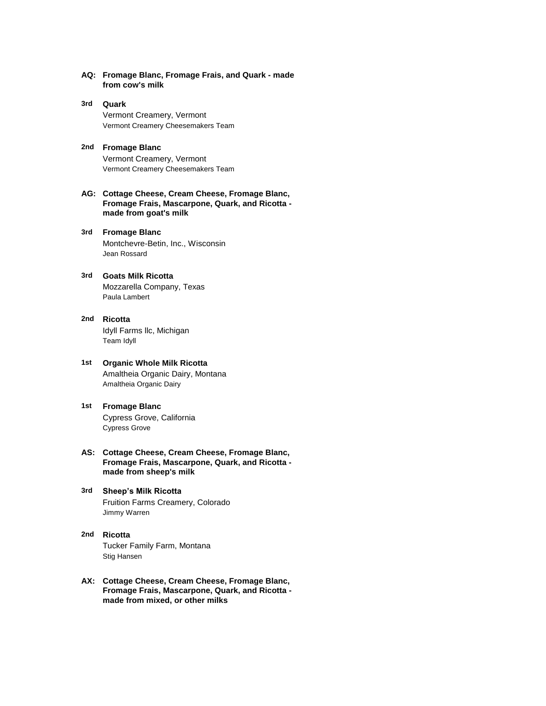- **AQ: Fromage Blanc, Fromage Frais, and Quark made from cow's milk**
- **3rd Quark** Vermont Creamery, Vermont Vermont Creamery Cheesemakers Team
- **2nd Fromage Blanc** Vermont Creamery, Vermont Vermont Creamery Cheesemakers Team
- **AG: Cottage Cheese, Cream Cheese, Fromage Blanc, Fromage Frais, Mascarpone, Quark, and Ricotta made from goat's milk**
- **3rd Fromage Blanc** Montchevre-Betin, Inc., Wisconsin Jean Rossard
- **3rd Goats Milk Ricotta** Mozzarella Company, Texas Paula Lambert
- **2nd Ricotta** Idyll Farms llc, Michigan Team Idyll
- **1st Organic Whole Milk Ricotta** Amaltheia Organic Dairy, Montana Amaltheia Organic Dairy
- **1st Fromage Blanc** Cypress Grove, California Cypress Grove
- **AS: Cottage Cheese, Cream Cheese, Fromage Blanc, Fromage Frais, Mascarpone, Quark, and Ricotta made from sheep's milk**
- **3rd Sheep's Milk Ricotta** Fruition Farms Creamery, Colorado Jimmy Warren
- **2nd Ricotta** Tucker Family Farm, Montana Stig Hansen
- **AX: Cottage Cheese, Cream Cheese, Fromage Blanc, Fromage Frais, Mascarpone, Quark, and Ricotta made from mixed, or other milks**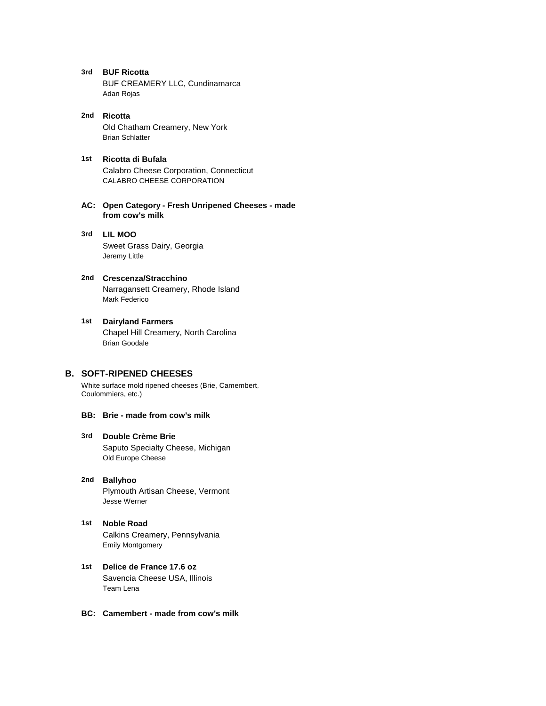- **3rd BUF Ricotta** BUF CREAMERY LLC, Cundinamarca Adan Rojas
- **2nd Ricotta** Old Chatham Creamery, New York Brian Schlatter
- **1st Ricotta di Bufala** Calabro Cheese Corporation, Connecticut CALABRO CHEESE CORPORATION
- **AC: Open Category Fresh Unripened Cheeses made from cow's milk**
- **3rd LIL MOO** Sweet Grass Dairy, Georgia Jeremy Little
- **2nd Crescenza/Stracchino** Narragansett Creamery, Rhode Island Mark Federico
- **1st Dairyland Farmers** Chapel Hill Creamery, North Carolina Brian Goodale

# **B. SOFT-RIPENED CHEESES**

White surface mold ripened cheeses (Brie, Camembert, Coulommiers, etc.)

# **BB: Brie - made from cow's milk**

## **3rd Double Crème Brie** Saputo Specialty Cheese, Michigan Old Europe Cheese

# **2nd Ballyhoo** Plymouth Artisan Cheese, Vermont Jesse Werner

- **1st Noble Road** Calkins Creamery, Pennsylvania Emily Montgomery
- **1st Delice de France 17.6 oz** Savencia Cheese USA, Illinois Team Lena
- **BC: Camembert made from cow's milk**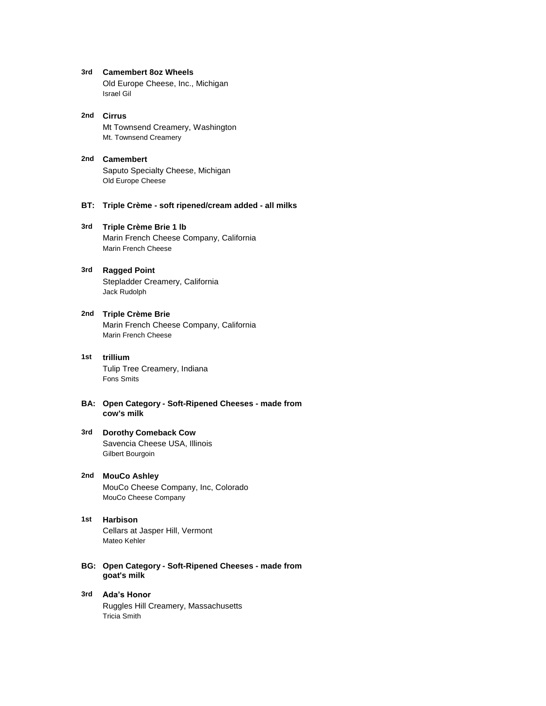**3rd Camembert 8oz Wheels**

Old Europe Cheese, Inc., Michigan Israel Gil

- **2nd Cirrus** Mt Townsend Creamery, Washington Mt. Townsend Creamery
- **2nd Camembert** Saputo Specialty Cheese, Michigan Old Europe Cheese
- **BT: Triple Crème soft ripened/cream added all milks**

#### **3rd Triple Crème Brie 1 lb**

Marin French Cheese Company, California Marin French Cheese

# **3rd Ragged Point** Stepladder Creamery, California

Jack Rudolph

# **2nd Triple Crème Brie**

Marin French Cheese Company, California Marin French Cheese

# **1st trillium** Tulip Tree Creamery, Indiana

Fons Smits

## **BA: Open Category - Soft-Ripened Cheeses - made from cow's milk**

#### **3rd Dorothy Comeback Cow** Savencia Cheese USA, Illinois Gilbert Bourgoin

# **2nd MouCo Ashley** MouCo Cheese Company, Inc, Colorado MouCo Cheese Company

# **1st Harbison**

Cellars at Jasper Hill, Vermont Mateo Kehler

**BG: Open Category - Soft-Ripened Cheeses - made from goat's milk**

#### **3rd Ada's Honor** Ruggles Hill Creamery, Massachusetts Tricia Smith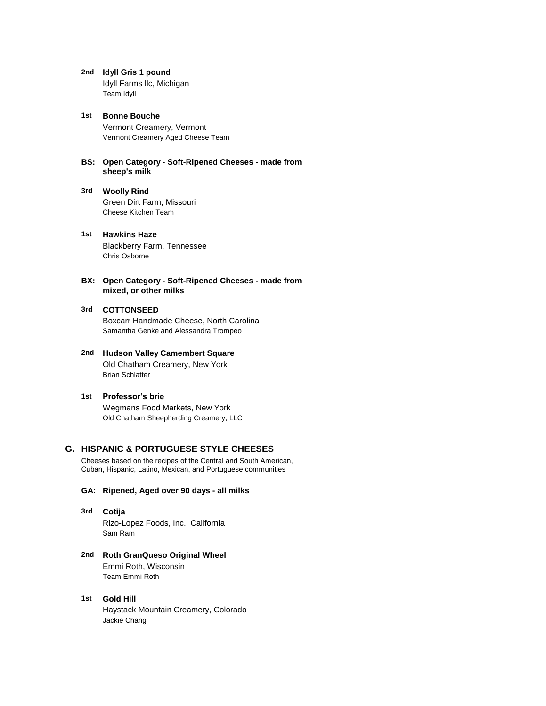**2nd Idyll Gris 1 pound**

Idyll Farms llc, Michigan Team Idyll

- **1st Bonne Bouche** Vermont Creamery, Vermont Vermont Creamery Aged Cheese Team
- **BS: Open Category Soft-Ripened Cheeses made from sheep's milk**
- **3rd Woolly Rind** Green Dirt Farm, Missouri Cheese Kitchen Team
- **1st Hawkins Haze** Blackberry Farm, Tennessee Chris Osborne
- **BX: Open Category Soft-Ripened Cheeses made from mixed, or other milks**

# **3rd COTTONSEED**

Boxcarr Handmade Cheese, North Carolina Samantha Genke and Alessandra Trompeo

- **2nd Hudson Valley Camembert Square** Old Chatham Creamery, New York Brian Schlatter
- **1st Professor's brie** Wegmans Food Markets, New York Old Chatham Sheepherding Creamery, LLC

# **G. HISPANIC & PORTUGUESE STYLE CHEESES**

Cheeses based on the recipes of the Central and South American, Cuban, Hispanic, Latino, Mexican, and Portuguese communities

# **GA: Ripened, Aged over 90 days - all milks**

- **3rd Cotija** Rizo-Lopez Foods, Inc., California Sam Ram
- **2nd Roth GranQueso Original Wheel** Emmi Roth, Wisconsin Team Emmi Roth
- **1st Gold Hill** Haystack Mountain Creamery, Colorado Jackie Chang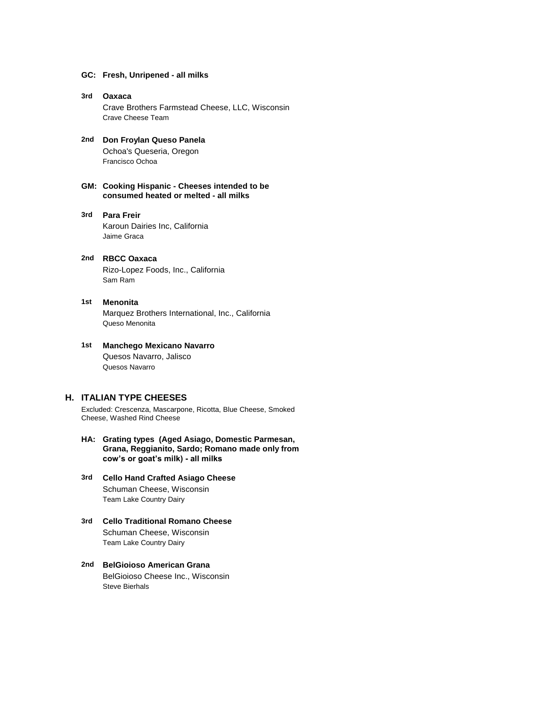#### **GC: Fresh, Unripened - all milks**

- **3rd Oaxaca** Crave Brothers Farmstead Cheese, LLC, Wisconsin Crave Cheese Team
- **2nd Don Froylan Queso Panela** Ochoa's Queseria, Oregon Francisco Ochoa
- **GM: Cooking Hispanic Cheeses intended to be consumed heated or melted - all milks**
- **3rd** Karoun Dairies Inc, California **Para Freir** Jaime Graca
- **2nd RBCC Oaxaca** Rizo-Lopez Foods, Inc., California Sam Ram
- **1st** Marquez Brothers International, Inc., California **Menonita** Queso Menonita

#### **1st Manchego Mexicano Navarro** Quesos Navarro, Jalisco Quesos Navarro

#### **H. ITALIAN TYPE CHEESES**

Excluded: Crescenza, Mascarpone, Ricotta, Blue Cheese, Smoked Cheese, Washed Rind Cheese

- **HA: Grating types (Aged Asiago, Domestic Parmesan, Grana, Reggianito, Sardo; Romano made only from cow's or goat's milk) - all milks**
- **3rd Cello Hand Crafted Asiago Cheese** Schuman Cheese, Wisconsin Team Lake Country Dairy
- **3rd Cello Traditional Romano Cheese** Schuman Cheese, Wisconsin Team Lake Country Dairy
- **2nd BelGioioso American Grana** BelGioioso Cheese Inc., Wisconsin Steve Bierhals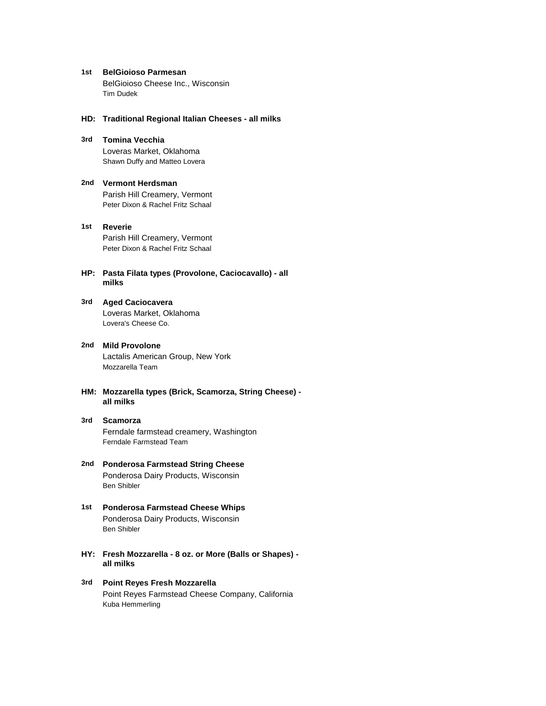**1st BelGioioso Parmesan** BelGioioso Cheese Inc., Wisconsin Tim Dudek

#### **HD: Traditional Regional Italian Cheeses - all milks**

- **3rd Tomina Vecchia** Loveras Market, Oklahoma Shawn Duffy and Matteo Lovera
- **2nd Vermont Herdsman** Parish Hill Creamery, Vermont Peter Dixon & Rachel Fritz Schaal
- **1st Reverie** Parish Hill Creamery, Vermont Peter Dixon & Rachel Fritz Schaal
- **HP: Pasta Filata types (Provolone, Caciocavallo) all milks**
- **3rd Aged Caciocavera** Loveras Market, Oklahoma Lovera's Cheese Co.
- **2nd Mild Provolone** Lactalis American Group, New York Mozzarella Team
- **HM: Mozzarella types (Brick, Scamorza, String Cheese) all milks**
- **3rd Scamorza** Ferndale farmstead creamery, Washington Ferndale Farmstead Team
- **2nd Ponderosa Farmstead String Cheese** Ponderosa Dairy Products, Wisconsin Ben Shibler
- **1st Ponderosa Farmstead Cheese Whips** Ponderosa Dairy Products, Wisconsin Ben Shibler
- **HY: Fresh Mozzarella 8 oz. or More (Balls or Shapes) all milks**
- **3rd Point Reyes Fresh Mozzarella** Point Reyes Farmstead Cheese Company, California Kuba Hemmerling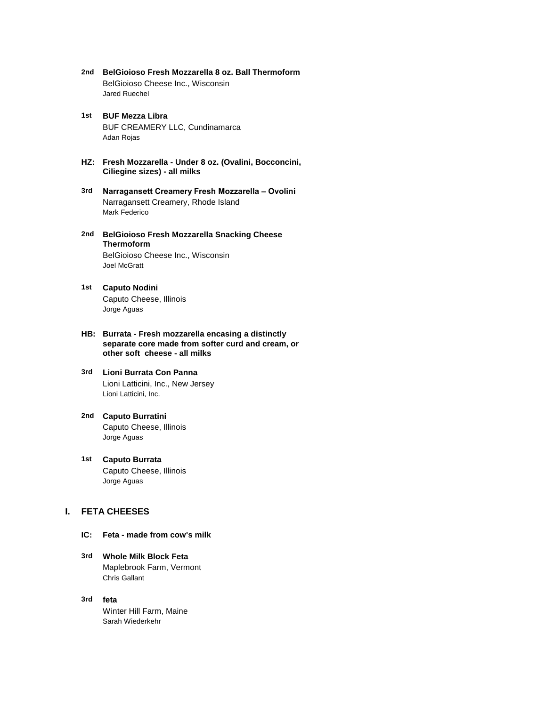- **2nd BelGioioso Fresh Mozzarella 8 oz. Ball Thermoform** BelGioioso Cheese Inc., Wisconsin Jared Ruechel
- **1st BUF Mezza Libra** BUF CREAMERY LLC, Cundinamarca Adan Rojas
- **HZ: Fresh Mozzarella Under 8 oz. (Ovalini, Bocconcini, Ciliegine sizes) - all milks**
- **3rd Narragansett Creamery Fresh Mozzarella Ovolini** Narragansett Creamery, Rhode Island Mark Federico
- **2nd BelGioioso Fresh Mozzarella Snacking Cheese**  BelGioioso Cheese Inc., Wisconsin **Thermoform** Joel McGratt
- **1st Caputo Nodini** Caputo Cheese, Illinois Jorge Aguas
- **HB: Burrata Fresh mozzarella encasing a distinctly separate core made from softer curd and cream, or other soft cheese - all milks**

# **3rd Lioni Burrata Con Panna** Lioni Latticini, Inc., New Jersey Lioni Latticini, Inc.

- **2nd Caputo Burratini** Caputo Cheese, Illinois Jorge Aguas
- **1st Caputo Burrata** Caputo Cheese, Illinois Jorge Aguas

# **I. FETA CHEESES**

- **IC: Feta made from cow's milk**
- **3rd Whole Milk Block Feta** Maplebrook Farm, Vermont Chris Gallant
- **3rd feta** Winter Hill Farm, Maine Sarah Wiederkehr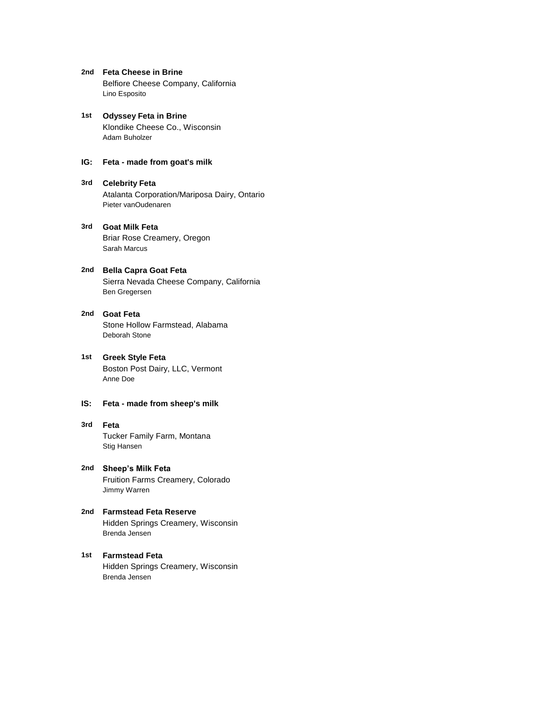- **2nd Feta Cheese in Brine** Belfiore Cheese Company, California Lino Esposito
- **1st Odyssey Feta in Brine** Klondike Cheese Co., Wisconsin Adam Buholzer
- **IG: Feta made from goat's milk**
- **3rd Celebrity Feta** Atalanta Corporation/Mariposa Dairy, Ontario Pieter vanOudenaren
- **3rd Goat Milk Feta** Briar Rose Creamery, Oregon Sarah Marcus
- **2nd Bella Capra Goat Feta** Sierra Nevada Cheese Company, California Ben Gregersen
- **2nd Goat Feta** Stone Hollow Farmstead, Alabama Deborah Stone
- **1st Greek Style Feta** Boston Post Dairy, LLC, Vermont Anne Doe

# **IS: Feta - made from sheep's milk**

- **3rd Feta** Tucker Family Farm, Montana Stig Hansen
- **2nd Sheep's Milk Feta** Fruition Farms Creamery, Colorado Jimmy Warren
- **2nd Farmstead Feta Reserve** Hidden Springs Creamery, Wisconsin Brenda Jensen
- **1st Farmstead Feta** Hidden Springs Creamery, Wisconsin Brenda Jensen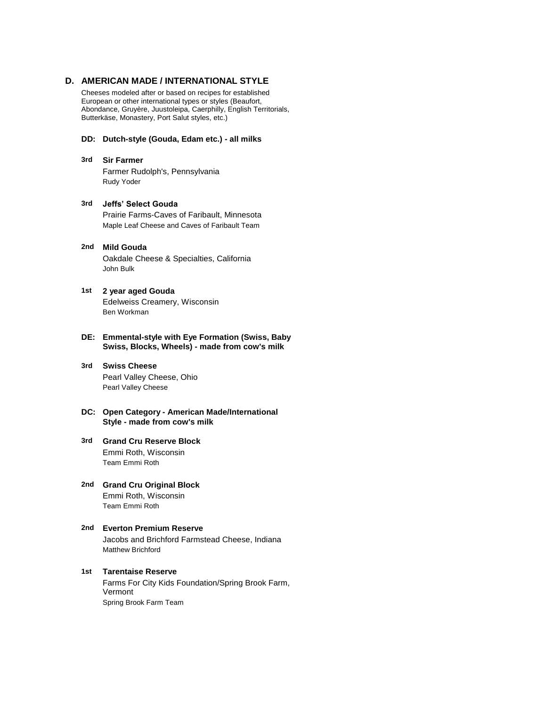# **D. AMERICAN MADE / INTERNATIONAL STYLE**

Cheeses modeled after or based on recipes for established European or other international types or styles (Beaufort, Abondance, Gruyère, Juustoleipa, Caerphilly, English Territorials, Butterkäse, Monastery, Port Salut styles, etc.)

# **DD: Dutch-style (Gouda, Edam etc.) - all milks**

#### **3rd Sir Farmer**

Farmer Rudolph's, Pennsylvania Rudy Yoder

# **3rd Jeffs' Select Gouda** Prairie Farms-Caves of Faribault, Minnesota

Maple Leaf Cheese and Caves of Faribault Team

#### **2nd Mild Gouda**

Oakdale Cheese & Specialties, California John Bulk

#### **1st 2 year aged Gouda**

Edelweiss Creamery, Wisconsin Ben Workman

# **DE: Emmental-style with Eye Formation (Swiss, Baby Swiss, Blocks, Wheels) - made from cow's milk**

#### **3rd Swiss Cheese** Pearl Valley Cheese, Ohio Pearl Valley Cheese

#### **DC: Open Category - American Made/International Style - made from cow's milk**

#### **3rd Grand Cru Reserve Block** Emmi Roth, Wisconsin Team Emmi Roth

**2nd Grand Cru Original Block** Emmi Roth, Wisconsin Team Emmi Roth

# **2nd Everton Premium Reserve** Jacobs and Brichford Farmstead Cheese, Indiana Matthew Brichford

# **1st Tarentaise Reserve** Farms For City Kids Foundation/Spring Brook Farm, Vermont Spring Brook Farm Team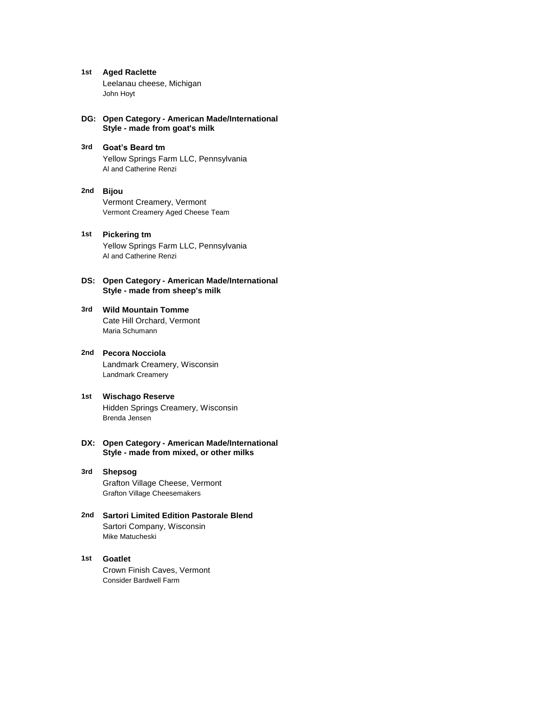- **1st Aged Raclette** Leelanau cheese, Michigan John Hoyt
- **DG: Open Category American Made/International Style - made from goat's milk**
- **3rd Goat's Beard tm** Yellow Springs Farm LLC, Pennsylvania Al and Catherine Renzi
- **2nd Bijou** Vermont Creamery, Vermont Vermont Creamery Aged Cheese Team
- **1st Pickering tm** Yellow Springs Farm LLC, Pennsylvania Al and Catherine Renzi
- **DS: Open Category American Made/International Style - made from sheep's milk**

#### **3rd Wild Mountain Tomme** Cate Hill Orchard, Vermont

Maria Schumann

- **2nd Pecora Nocciola** Landmark Creamery, Wisconsin Landmark Creamery
- **1st Wischago Reserve** Hidden Springs Creamery, Wisconsin Brenda Jensen
- **DX: Open Category American Made/International Style - made from mixed, or other milks**

# **3rd Shepsog** Grafton Village Cheese, Vermont Grafton Village Cheesemakers

**2nd Sartori Limited Edition Pastorale Blend** Sartori Company, Wisconsin Mike Matucheski

# **1st Goatlet**

Crown Finish Caves, Vermont Consider Bardwell Farm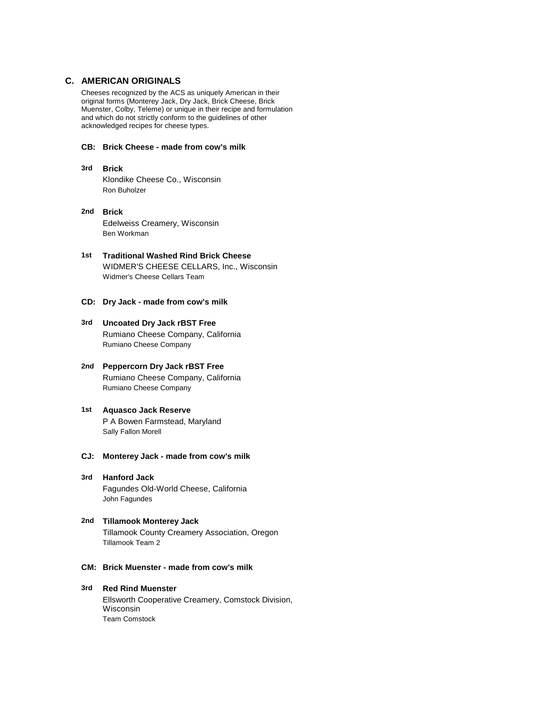# **C. AMERICAN ORIGINALS**

Cheeses recognized by the ACS as uniquely American in their original forms (Monterey Jack, Dry Jack, Brick Cheese, Brick Muenster, Colby, Teleme) or unique in their recipe and formulation and which do not strictly conform to the guidelines of other acknowledged recipes for cheese types.

# **CB: Brick Cheese - made from cow's milk**

- **3rd Brick** Klondike Cheese Co., Wisconsin Ron Buholzer
- **2nd Brick** Edelweiss Creamery, Wisconsin Ben Workman
- **1st Traditional Washed Rind Brick Cheese** WIDMER'S CHEESE CELLARS, Inc., Wisconsin Widmer's Cheese Cellars Team
- **CD: Dry Jack made from cow's milk**
- **3rd Uncoated Dry Jack rBST Free** Rumiano Cheese Company, California Rumiano Cheese Company
- **2nd Peppercorn Dry Jack rBST Free** Rumiano Cheese Company, California Rumiano Cheese Company
- **1st Aquasco Jack Reserve** P A Bowen Farmstead, Maryland Sally Fallon Morell
- **CJ: Monterey Jack made from cow's milk**
- **3rd Hanford Jack** Fagundes Old-World Cheese, California John Fagundes
- **2nd Tillamook Monterey Jack** Tillamook County Creamery Association, Oregon Tillamook Team 2
- **CM: Brick Muenster made from cow's milk**
- **3rd Red Rind Muenster** Ellsworth Cooperative Creamery, Comstock Division, Wisconsin Team Comstock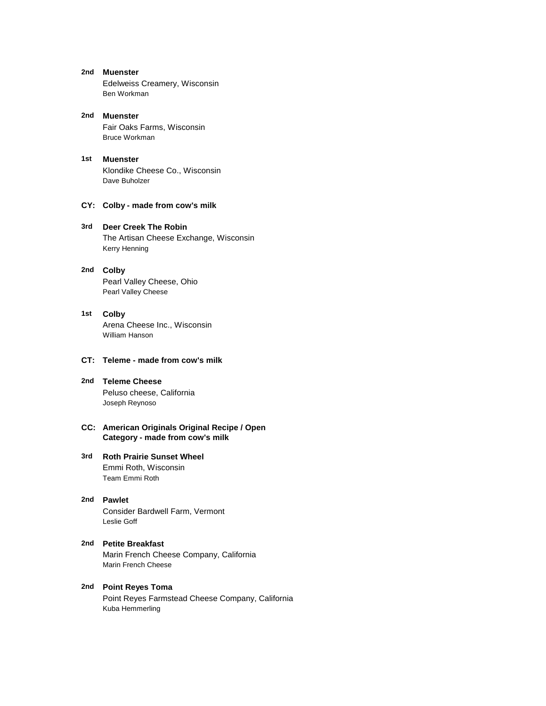- **2nd Muenster** Edelweiss Creamery, Wisconsin Ben Workman
- **2nd Muenster** Fair Oaks Farms, Wisconsin Bruce Workman
- **1st Muenster** Klondike Cheese Co., Wisconsin Dave Buholzer
- **CY: Colby made from cow's milk**

#### **3rd Deer Creek The Robin**

The Artisan Cheese Exchange, Wisconsin Kerry Henning

#### **2nd Colby**

Pearl Valley Cheese, Ohio Pearl Valley Cheese

# **1st Colby** Arena Cheese Inc., Wisconsin

William Hanson

# **CT: Teleme - made from cow's milk**

**2nd Teleme Cheese** Peluso cheese, California Joseph Reynoso

#### **CC: American Originals Original Recipe / Open Category - made from cow's milk**

#### **3rd Roth Prairie Sunset Wheel** Emmi Roth, Wisconsin Team Emmi Roth

# **2nd Pawlet** Consider Bardwell Farm, Vermont Leslie Goff

#### **2nd Petite Breakfast** Marin French Cheese Company, California Marin French Cheese

**2nd Point Reyes Toma** Point Reyes Farmstead Cheese Company, California Kuba Hemmerling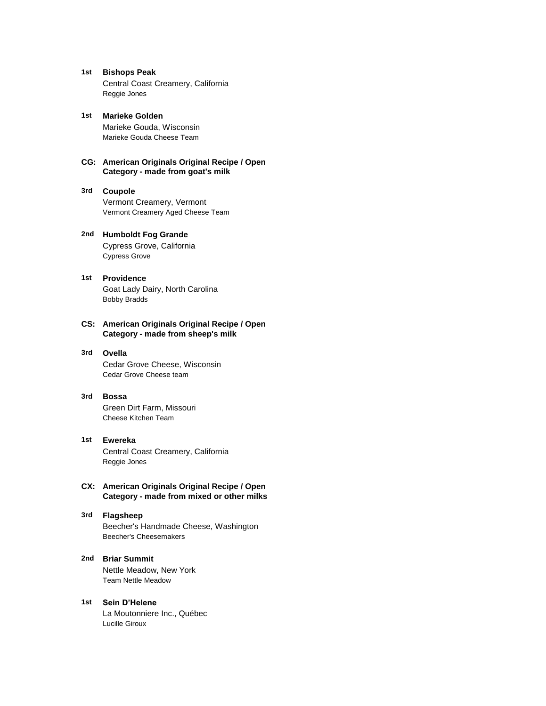**1st Bishops Peak** Central Coast Creamery, California Reggie Jones

**1st Marieke Golden** Marieke Gouda, Wisconsin Marieke Gouda Cheese Team

#### **CG: American Originals Original Recipe / Open Category - made from goat's milk**

#### **3rd Coupole** Vermont Creamery, Vermont Vermont Creamery Aged Cheese Team

# **2nd Humboldt Fog Grande** Cypress Grove, California Cypress Grove

# **1st Providence** Goat Lady Dairy, North Carolina Bobby Bradds

#### **CS: American Originals Original Recipe / Open Category - made from sheep's milk**

#### **3rd Ovella**

Cedar Grove Cheese, Wisconsin Cedar Grove Cheese team

#### **3rd Bossa**

Green Dirt Farm, Missouri Cheese Kitchen Team

**1st Ewereka** Central Coast Creamery, California Reggie Jones

# **CX: American Originals Original Recipe / Open Category - made from mixed or other milks**

# **3rd Flagsheep**

Beecher's Handmade Cheese, Washington Beecher's Cheesemakers

**2nd Briar Summit** Nettle Meadow, New York Team Nettle Meadow

#### **1st Sein D'Helene** La Moutonniere Inc., Québec Lucille Giroux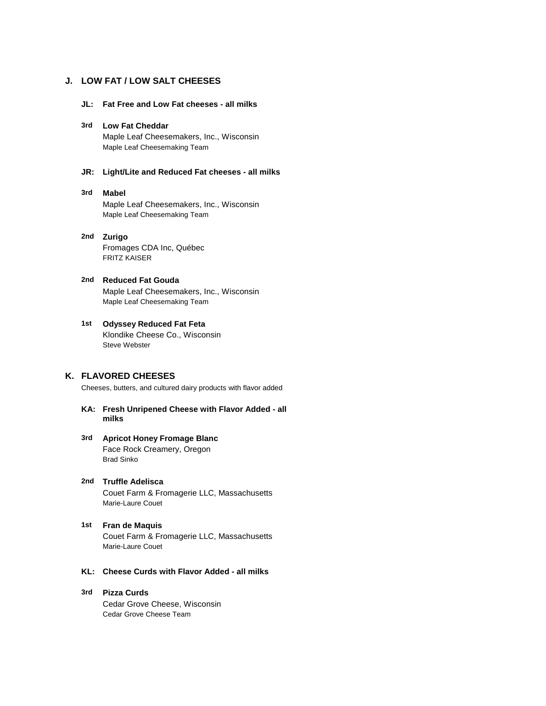# **J. LOW FAT / LOW SALT CHEESES**

**JL: Fat Free and Low Fat cheeses - all milks**

#### **3rd Low Fat Cheddar**

Maple Leaf Cheesemakers, Inc., Wisconsin Maple Leaf Cheesemaking Team

# **JR: Light/Lite and Reduced Fat cheeses - all milks**

#### **3rd Mabel**

Maple Leaf Cheesemakers, Inc., Wisconsin Maple Leaf Cheesemaking Team

#### **2nd Zurigo** Fromages CDA Inc, Québec FRITZ KAISER

# **2nd Reduced Fat Gouda** Maple Leaf Cheesemakers, Inc., Wisconsin Maple Leaf Cheesemaking Team

# **1st Odyssey Reduced Fat Feta** Klondike Cheese Co., Wisconsin Steve Webster

# **K. FLAVORED CHEESES**

Cheeses, butters, and cultured dairy products with flavor added

#### **KA: Fresh Unripened Cheese with Flavor Added - all milks**

#### **3rd Apricot Honey Fromage Blanc** Face Rock Creamery, Oregon Brad Sinko

- **2nd Truffle Adelisca** Couet Farm & Fromagerie LLC, Massachusetts Marie-Laure Couet
- **1st Fran de Maquis** Couet Farm & Fromagerie LLC, Massachusetts Marie-Laure Couet
- **KL: Cheese Curds with Flavor Added all milks**
- **3rd Pizza Curds** Cedar Grove Cheese, Wisconsin Cedar Grove Cheese Team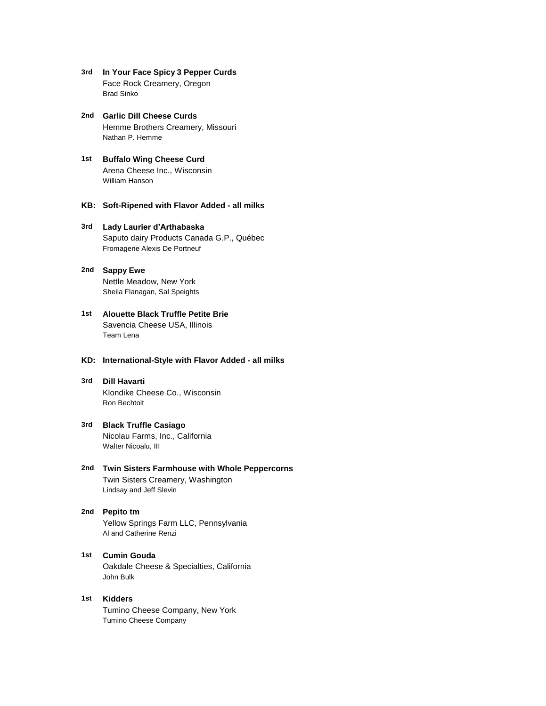- **3rd In Your Face Spicy 3 Pepper Curds** Face Rock Creamery, Oregon Brad Sinko
- **2nd Garlic Dill Cheese Curds** Hemme Brothers Creamery, Missouri Nathan P. Hemme
- **1st Buffalo Wing Cheese Curd** Arena Cheese Inc., Wisconsin William Hanson
- **KB: Soft-Ripened with Flavor Added all milks**

# **3rd Lady Laurier d'Arthabaska** Saputo dairy Products Canada G.P., Québec Fromagerie Alexis De Portneuf

- **2nd Sappy Ewe** Nettle Meadow, New York Sheila Flanagan, Sal Speights
- **1st Alouette Black Truffle Petite Brie** Savencia Cheese USA, Illinois Team Lena

## **KD: International-Style with Flavor Added - all milks**

- **3rd Dill Havarti** Klondike Cheese Co., Wisconsin Ron Bechtolt
- **3rd Black Truffle Casiago** Nicolau Farms, Inc., California Walter Nicoalu, III
- **2nd Twin Sisters Farmhouse with Whole Peppercorns** Twin Sisters Creamery, Washington Lindsay and Jeff Slevin
- **2nd Pepito tm** Yellow Springs Farm LLC, Pennsylvania Al and Catherine Renzi
- **1st Cumin Gouda** Oakdale Cheese & Specialties, California John Bulk
- **1st Kidders** Tumino Cheese Company, New York Tumino Cheese Company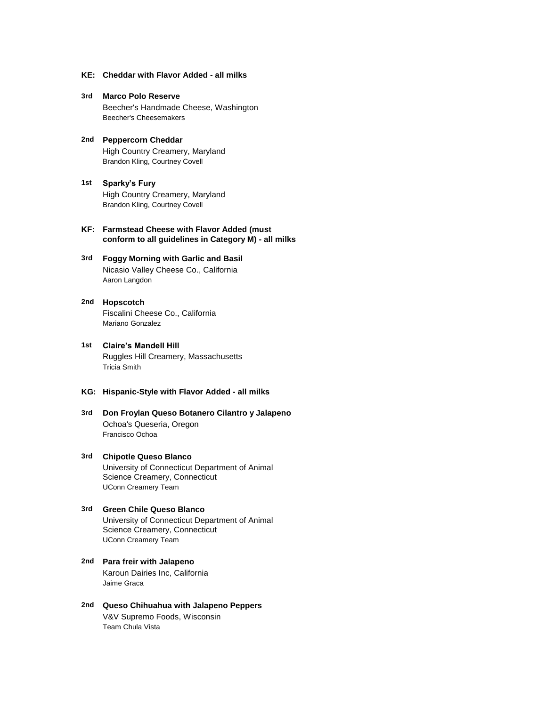- **KE: Cheddar with Flavor Added all milks**
- **3rd Marco Polo Reserve** Beecher's Handmade Cheese, Washington Beecher's Cheesemakers
- **2nd Peppercorn Cheddar** High Country Creamery, Maryland Brandon Kling, Courtney Covell
- **1st Sparky's Fury** High Country Creamery, Maryland Brandon Kling, Courtney Covell
- **KF: Farmstead Cheese with Flavor Added (must conform to all guidelines in Category M) - all milks**
- **3rd Foggy Morning with Garlic and Basil** Nicasio Valley Cheese Co., California Aaron Langdon
- **2nd Hopscotch** Fiscalini Cheese Co., California Mariano Gonzalez
- **1st Claire's Mandell Hill** Ruggles Hill Creamery, Massachusetts Tricia Smith
- **KG: Hispanic-Style with Flavor Added all milks**
- **3rd Don Froylan Queso Botanero Cilantro y Jalapeno** Ochoa's Queseria, Oregon Francisco Ochoa
- **3rd Chipotle Queso Blanco** University of Connecticut Department of Animal Science Creamery, Connecticut UConn Creamery Team
- **3rd Green Chile Queso Blanco** University of Connecticut Department of Animal Science Creamery, Connecticut UConn Creamery Team
- **2nd Para freir with Jalapeno** Karoun Dairies Inc, California Jaime Graca
- **2nd Queso Chihuahua with Jalapeno Peppers** V&V Supremo Foods, Wisconsin Team Chula Vista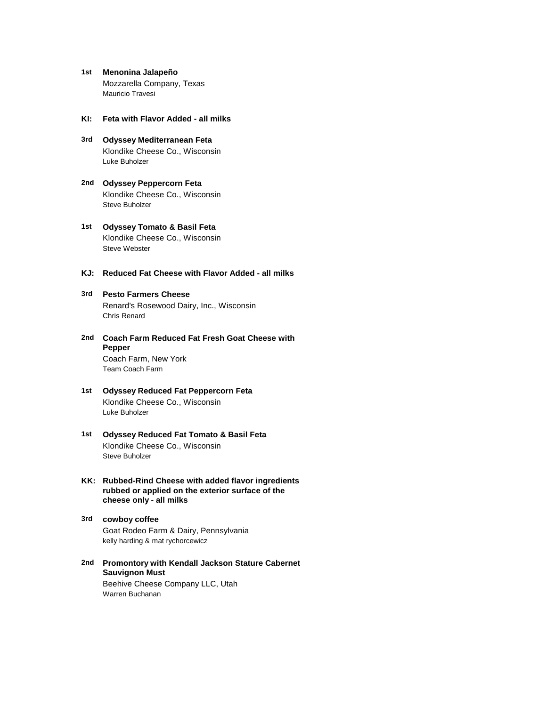- **1st Menonina Jalapeño** Mozzarella Company, Texas Mauricio Travesi
- **KI: Feta with Flavor Added all milks**
- **3rd Odyssey Mediterranean Feta** Klondike Cheese Co., Wisconsin Luke Buholzer
- **2nd Odyssey Peppercorn Feta** Klondike Cheese Co., Wisconsin Steve Buholzer
- **1st Odyssey Tomato & Basil Feta** Klondike Cheese Co., Wisconsin Steve Webster
- **KJ: Reduced Fat Cheese with Flavor Added all milks**

# **3rd Pesto Farmers Cheese**

Renard's Rosewood Dairy, Inc., Wisconsin Chris Renard

- **2nd Coach Farm Reduced Fat Fresh Goat Cheese with**  Coach Farm, New York **Pepper** Team Coach Farm
- **1st Odyssey Reduced Fat Peppercorn Feta** Klondike Cheese Co., Wisconsin Luke Buholzer
- **1st Odyssey Reduced Fat Tomato & Basil Feta** Klondike Cheese Co., Wisconsin Steve Buholzer
- **KK: Rubbed-Rind Cheese with added flavor ingredients rubbed or applied on the exterior surface of the cheese only - all milks**
- **3rd cowboy coffee** Goat Rodeo Farm & Dairy, Pennsylvania kelly harding & mat rychorcewicz
- **2nd Promontory with Kendall Jackson Stature Cabernet**  Beehive Cheese Company LLC, Utah **Sauvignon Must** Warren Buchanan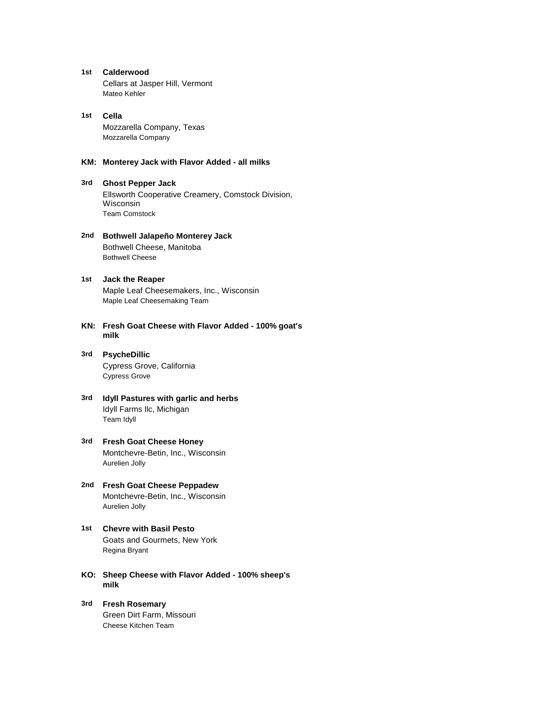**1st Calderwood** Cellars at Jasper Hill, Vermont Mateo Kehler

#### **1st Cella** Mozzarella Company, Texas Mozzarella Company

#### **KM: Monterey Jack with Flavor Added - all milks**

#### **3rd Ghost Pepper Jack**

Ellsworth Cooperative Creamery, Comstock Division, Wisconsin Team Comstock

**2nd Bothwell Jalapeño Monterey Jack** Bothwell Cheese, Manitoba Bothwell Cheese

# **1st Jack the Reaper** Maple Leaf Cheesemakers, Inc., Wisconsin Maple Leaf Cheesemaking Team

- **KN: Fresh Goat Cheese with Flavor Added 100% goat's milk**
- **3rd PsycheDillic** Cypress Grove, California Cypress Grove
- **3rd Idyll Pastures with garlic and herbs** Idyll Farms llc, Michigan Team Idyll
- **3rd Fresh Goat Cheese Honey** Montchevre-Betin, Inc., Wisconsin Aurelien Jolly
- **2nd Fresh Goat Cheese Peppadew** Montchevre-Betin, Inc., Wisconsin Aurelien Jolly
- **1st Chevre with Basil Pesto** Goats and Gourmets, New York Regina Bryant
- **KO: Sheep Cheese with Flavor Added 100% sheep's milk**
- **3rd Fresh Rosemary** Green Dirt Farm, Missouri Cheese Kitchen Team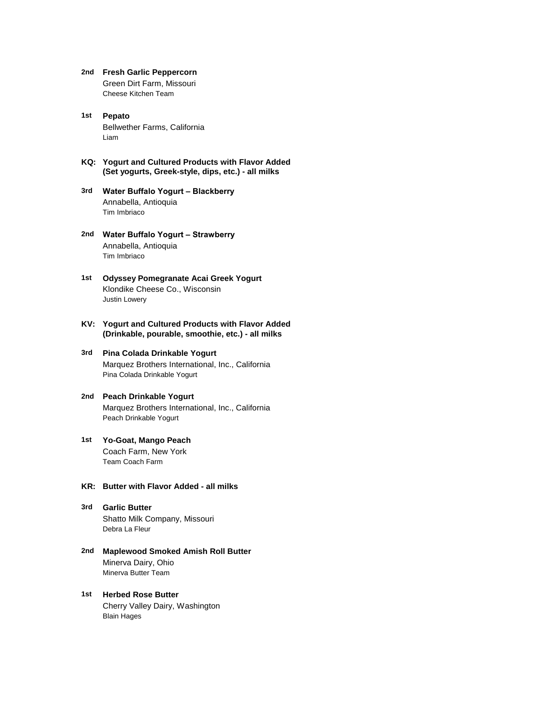- **2nd Fresh Garlic Peppercorn** Green Dirt Farm, Missouri Cheese Kitchen Team
- **1st Pepato** Bellwether Farms, California Liam
- **KQ: Yogurt and Cultured Products with Flavor Added (Set yogurts, Greek-style, dips, etc.) - all milks**
- **3rd Water Buffalo Yogurt Blackberry** Annabella, Antioquia Tim Imbriaco
- **2nd Water Buffalo Yogurt Strawberry** Annabella, Antioquia Tim Imbriaco
- **1st Odyssey Pomegranate Acai Greek Yogurt** Klondike Cheese Co., Wisconsin Justin Lowery
- **KV: Yogurt and Cultured Products with Flavor Added (Drinkable, pourable, smoothie, etc.) - all milks**
- **3rd Pina Colada Drinkable Yogurt** Marquez Brothers International, Inc., California Pina Colada Drinkable Yogurt
- **2nd Peach Drinkable Yogurt** Marquez Brothers International, Inc., California Peach Drinkable Yogurt
- **1st Yo-Goat, Mango Peach** Coach Farm, New York Team Coach Farm
- **KR: Butter with Flavor Added all milks**
- **3rd Garlic Butter** Shatto Milk Company, Missouri Debra La Fleur
- **2nd Maplewood Smoked Amish Roll Butter** Minerva Dairy, Ohio Minerva Butter Team
- **1st Herbed Rose Butter** Cherry Valley Dairy, Washington Blain Hages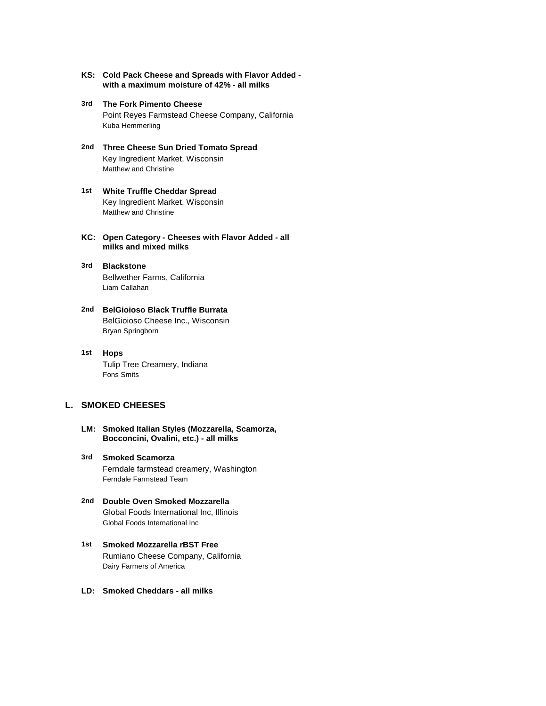- **KS: Cold Pack Cheese and Spreads with Flavor Added with a maximum moisture of 42% - all milks**
- **3rd The Fork Pimento Cheese** Point Reyes Farmstead Cheese Company, California Kuba Hemmerling
- **2nd Three Cheese Sun Dried Tomato Spread** Key Ingredient Market, Wisconsin Matthew and Christine
- **1st White Truffle Cheddar Spread** Key Ingredient Market, Wisconsin Matthew and Christine
- **KC: Open Category Cheeses with Flavor Added all milks and mixed milks**
- **3rd Blackstone** Bellwether Farms, California Liam Callahan
- **2nd BelGioioso Black Truffle Burrata** BelGioioso Cheese Inc., Wisconsin Bryan Springborn
- **1st Hops** Tulip Tree Creamery, Indiana Fons Smits

# **L. SMOKED CHEESES**

- **LM: Smoked Italian Styles (Mozzarella, Scamorza, Bocconcini, Ovalini, etc.) - all milks**
- **3rd Smoked Scamorza** Ferndale farmstead creamery, Washington Ferndale Farmstead Team
- **2nd Double Oven Smoked Mozzarella** Global Foods International Inc, Illinois Global Foods International Inc
- **1st Smoked Mozzarella rBST Free** Rumiano Cheese Company, California Dairy Farmers of America
- **LD: Smoked Cheddars all milks**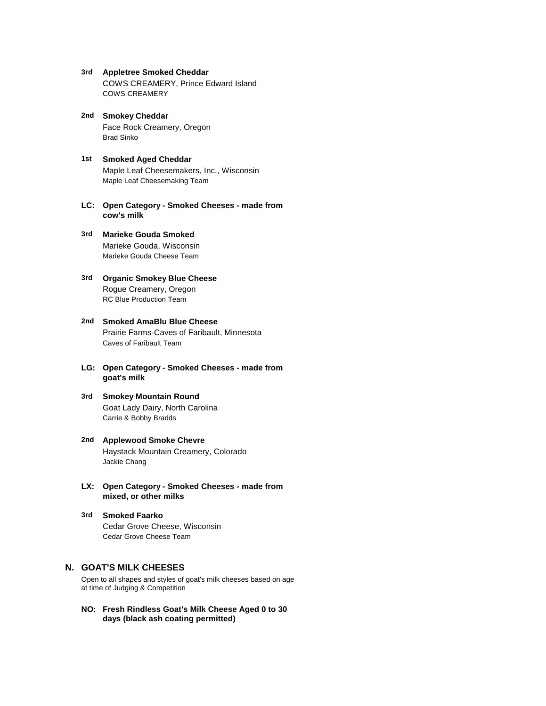- **3rd Appletree Smoked Cheddar** COWS CREAMERY, Prince Edward Island COWS CREAMERY
- **2nd Smokey Cheddar** Face Rock Creamery, Oregon Brad Sinko
- **1st Smoked Aged Cheddar** Maple Leaf Cheesemakers, Inc., Wisconsin Maple Leaf Cheesemaking Team
- **LC: Open Category Smoked Cheeses made from cow's milk**
- **3rd Marieke Gouda Smoked** Marieke Gouda, Wisconsin Marieke Gouda Cheese Team
- **3rd Organic Smokey Blue Cheese** Rogue Creamery, Oregon RC Blue Production Team
- **2nd Smoked AmaBlu Blue Cheese** Prairie Farms-Caves of Faribault, Minnesota Caves of Faribault Team
- **LG: Open Category Smoked Cheeses made from goat's milk**
- **3rd Smokey Mountain Round** Goat Lady Dairy, North Carolina Carrie & Bobby Bradds
- **2nd Applewood Smoke Chevre** Haystack Mountain Creamery, Colorado Jackie Chang
- **LX: Open Category Smoked Cheeses made from mixed, or other milks**
- **3rd Smoked Faarko** Cedar Grove Cheese, Wisconsin Cedar Grove Cheese Team

# **N. GOAT'S MILK CHEESES**

Open to all shapes and styles of goat's milk cheeses based on age at time of Judging & Competition

**NO: Fresh Rindless Goat's Milk Cheese Aged 0 to 30 days (black ash coating permitted)**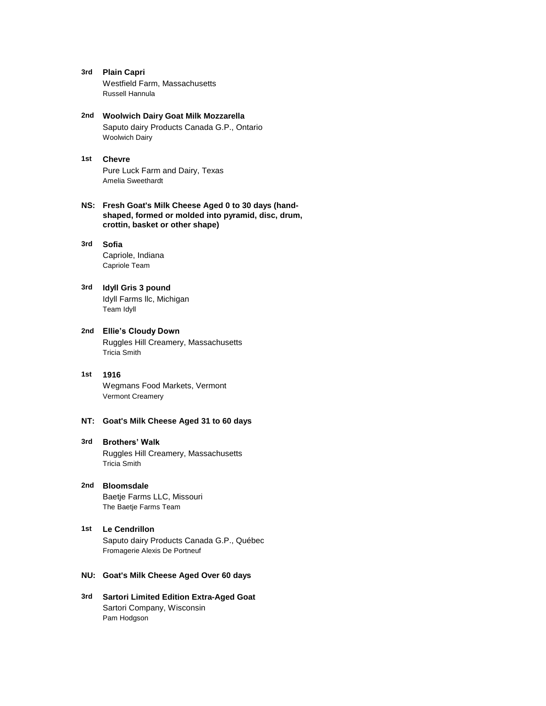- **3rd Plain Capri** Westfield Farm, Massachusetts Russell Hannula
- **2nd Woolwich Dairy Goat Milk Mozzarella** Saputo dairy Products Canada G.P., Ontario Woolwich Dairy
- **1st Chevre** Pure Luck Farm and Dairy, Texas Amelia Sweethardt
- **NS: Fresh Goat's Milk Cheese Aged 0 to 30 days (handshaped, formed or molded into pyramid, disc, drum, crottin, basket or other shape)**

#### **3rd Sofia**

Capriole, Indiana Capriole Team

#### **3rd Idyll Gris 3 pound** Idyll Farms llc, Michigan

Team Idyll

**2nd Ellie's Cloudy Down** Ruggles Hill Creamery, Massachusetts Tricia Smith

# **1st 1916**

Wegmans Food Markets, Vermont Vermont Creamery

# **NT: Goat's Milk Cheese Aged 31 to 60 days**

#### **3rd Brothers' Walk**

Ruggles Hill Creamery, Massachusetts Tricia Smith

- **2nd Bloomsdale** Baetje Farms LLC, Missouri The Baetje Farms Team
- **1st Le Cendrillon** Saputo dairy Products Canada G.P., Québec Fromagerie Alexis De Portneuf
- **NU: Goat's Milk Cheese Aged Over 60 days**
- **3rd Sartori Limited Edition Extra-Aged Goat** Sartori Company, Wisconsin Pam Hodgson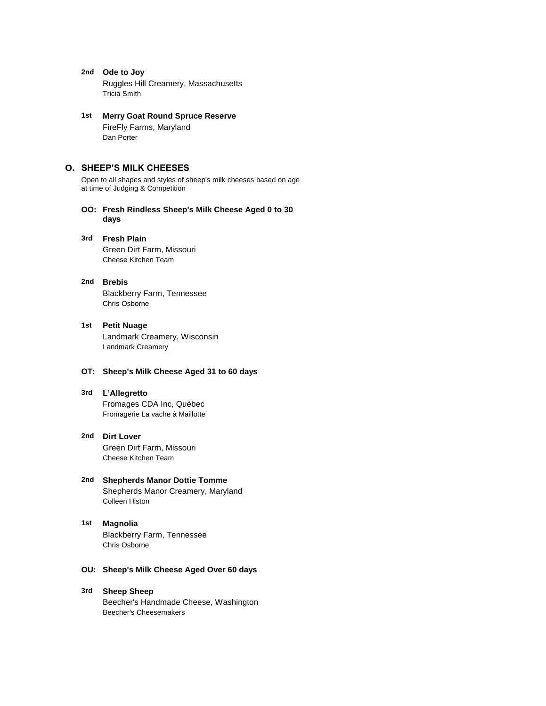- **2nd Ode to Joy** Ruggles Hill Creamery, Massachusetts Tricia Smith
- **1st Merry Goat Round Spruce Reserve** FireFly Farms, Maryland Dan Porter

# **O. SHEEP'S MILK CHEESES**

Open to all shapes and styles of sheep's milk cheeses based on age at time of Judging & Competition

- **OO: Fresh Rindless Sheep's Milk Cheese Aged 0 to 30 days**
- **3rd Fresh Plain** Green Dirt Farm, Missouri Cheese Kitchen Team

# **2nd Brebis**

Blackberry Farm, Tennessee Chris Osborne

**1st Petit Nuage** Landmark Creamery, Wisconsin Landmark Creamery

# **OT: Sheep's Milk Cheese Aged 31 to 60 days**

#### **3rd L'Allegretto**

Fromages CDA Inc, Québec Fromagerie La vache à Maillotte

**2nd Dirt Lover** Green Dirt Farm, Missouri Cheese Kitchen Team

#### **2nd Shepherds Manor Dottie Tomme** Shepherds Manor Creamery, Maryland Colleen Histon

#### **1st Magnolia**

Blackberry Farm, Tennessee Chris Osborne

# **OU: Sheep's Milk Cheese Aged Over 60 days**

#### **3rd Sheep Sheep**

Beecher's Handmade Cheese, Washington Beecher's Cheesemakers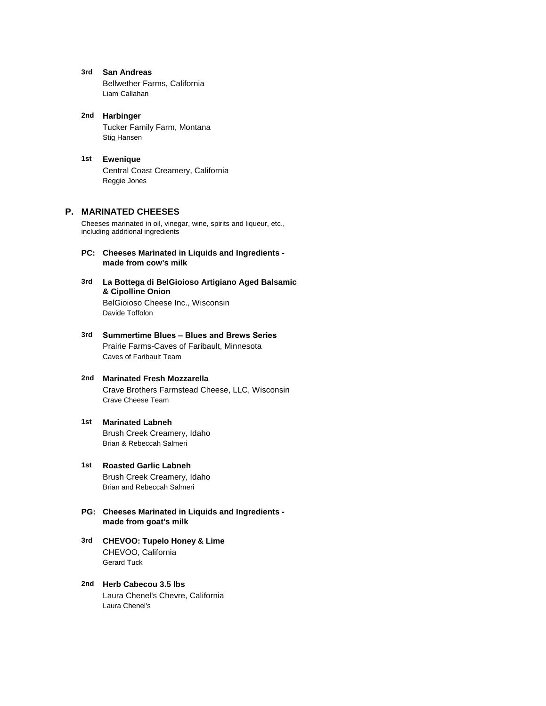- **3rd San Andreas** Bellwether Farms, California Liam Callahan
- **2nd Harbinger** Tucker Family Farm, Montana Stig Hansen
- **1st Ewenique** Central Coast Creamery, California Reggie Jones

# **P. MARINATED CHEESES**

Cheeses marinated in oil, vinegar, wine, spirits and liqueur, etc., including additional ingredients

- **PC: Cheeses Marinated in Liquids and Ingredients made from cow's milk**
- **3rd La Bottega di BelGioioso Artigiano Aged Balsamic**  BelGioioso Cheese Inc., Wisconsin **& Cipolline Onion** Davide Toffolon
- **3rd Summertime Blues Blues and Brews Series** Prairie Farms-Caves of Faribault, Minnesota Caves of Faribault Team
- **2nd Marinated Fresh Mozzarella** Crave Brothers Farmstead Cheese, LLC, Wisconsin Crave Cheese Team
- **1st Marinated Labneh** Brush Creek Creamery, Idaho Brian & Rebeccah Salmeri
- **1st Roasted Garlic Labneh** Brush Creek Creamery, Idaho Brian and Rebeccah Salmeri
- **PG: Cheeses Marinated in Liquids and Ingredients made from goat's milk**
- **3rd CHEVOO: Tupelo Honey & Lime** CHEVOO, California Gerard Tuck
- **2nd Herb Cabecou 3.5 lbs** Laura Chenel's Chevre, California Laura Chenel's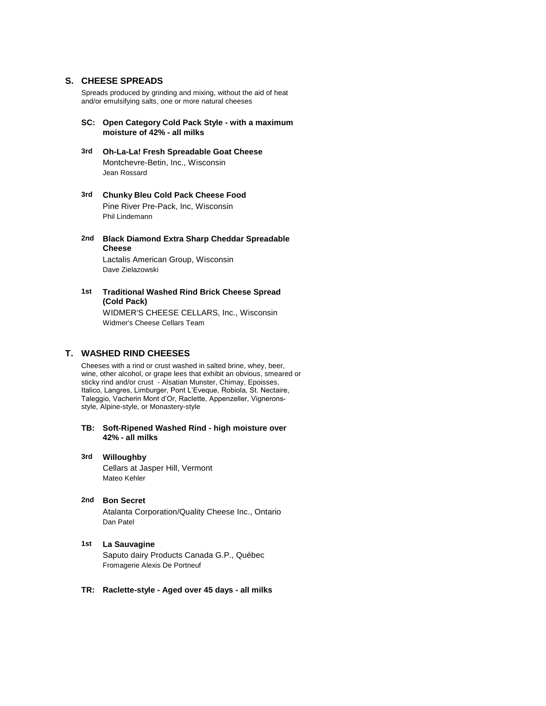# **S. CHEESE SPREADS**

Spreads produced by grinding and mixing, without the aid of heat and/or emulsifying salts, one or more natural cheeses

- **SC: Open Category Cold Pack Style with a maximum moisture of 42% - all milks**
- **3rd Oh-La-La! Fresh Spreadable Goat Cheese** Montchevre-Betin, Inc., Wisconsin Jean Rossard
- **3rd Chunky Bleu Cold Pack Cheese Food** Pine River Pre-Pack, Inc, Wisconsin Phil Lindemann
- **2nd Black Diamond Extra Sharp Cheddar Spreadable**  Lactalis American Group, Wisconsin **Cheese**

Dave Zielazowski

**1st** WIDMER'S CHEESE CELLARS, Inc., Wisconsin **Traditional Washed Rind Brick Cheese Spread (Cold Pack)** Widmer's Cheese Cellars Team

# **T. WASHED RIND CHEESES**

Cheeses with a rind or crust washed in salted brine, whey, beer, wine, other alcohol, or grape lees that exhibit an obvious, smeared or sticky rind and/or crust - Alsatian Munster, Chimay, Epoisses, Italico, Langres, Limburger, Pont L'Eveque, Robiola, St. Nectaire, Taleggio, Vacherin Mont d'Or, Raclette, Appenzeller, Vigneronsstyle, Alpine-style, or Monastery-style

- **TB: Soft-Ripened Washed Rind high moisture over 42% - all milks**
- **3rd Willoughby** Cellars at Jasper Hill, Vermont Mateo Kehler
- **2nd Bon Secret** Atalanta Corporation/Quality Cheese Inc., Ontario Dan Patel

#### **1st La Sauvagine**

Saputo dairy Products Canada G.P., Québec Fromagerie Alexis De Portneuf

#### **TR: Raclette-style - Aged over 45 days - all milks**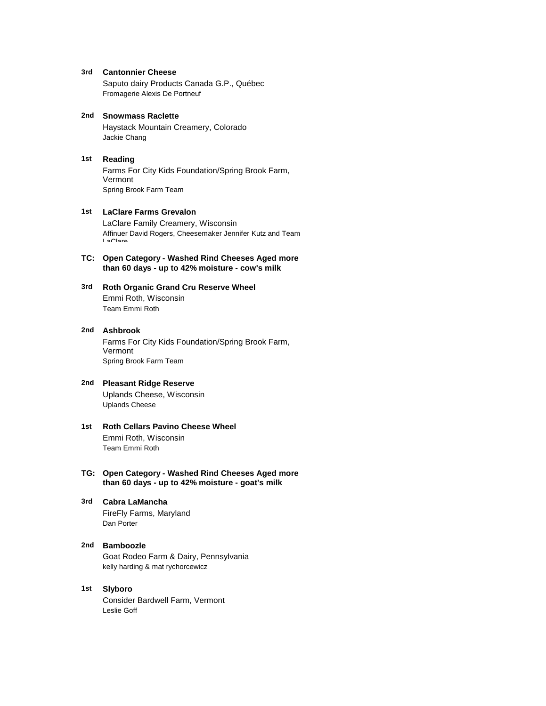**3rd Cantonnier Cheese**

Saputo dairy Products Canada G.P., Québec Fromagerie Alexis De Portneuf

**2nd Snowmass Raclette** Haystack Mountain Creamery, Colorado Jackie Chang

#### **1st Reading**

Farms For City Kids Foundation/Spring Brook Farm, Vermont Spring Brook Farm Team

#### **1st LaClare Farms Grevalon**

LaClare Family Creamery, Wisconsin Affinuer David Rogers, Cheesemaker Jennifer Kutz and Team LaClare

### **TC: Open Category - Washed Rind Cheeses Aged more than 60 days - up to 42% moisture - cow's milk**

#### **3rd Roth Organic Grand Cru Reserve Wheel** Emmi Roth, Wisconsin Team Emmi Roth

#### **2nd Ashbrook**

Farms For City Kids Foundation/Spring Brook Farm, Vermont Spring Brook Farm Team

#### **2nd Pleasant Ridge Reserve**

Uplands Cheese, Wisconsin Uplands Cheese

- **1st Roth Cellars Pavino Cheese Wheel** Emmi Roth, Wisconsin Team Emmi Roth
- **TG: Open Category Washed Rind Cheeses Aged more than 60 days - up to 42% moisture - goat's milk**
- **3rd Cabra LaMancha** FireFly Farms, Maryland Dan Porter
- **2nd Bamboozle** Goat Rodeo Farm & Dairy, Pennsylvania kelly harding & mat rychorcewicz
- **1st Slyboro** Consider Bardwell Farm, Vermont Leslie Goff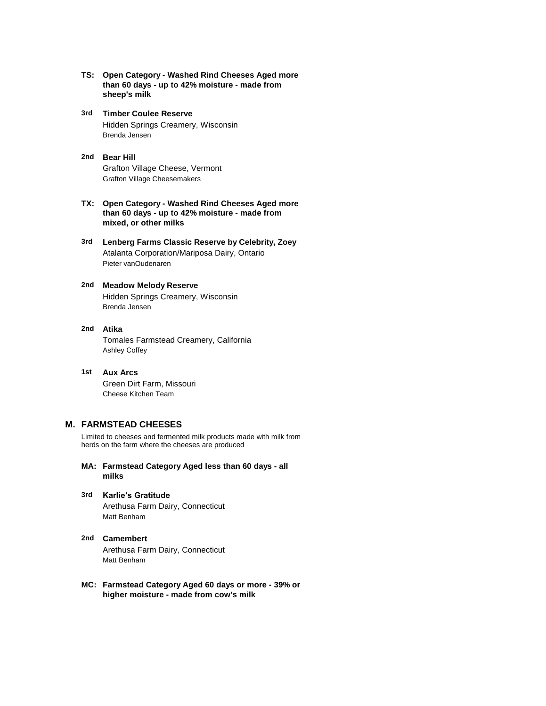- **TS: Open Category Washed Rind Cheeses Aged more than 60 days - up to 42% moisture - made from sheep's milk**
- **3rd** Hidden Springs Creamery, Wisconsin **Timber Coulee Reserve** Brenda Jensen
- **2nd Bear Hill** Grafton Village Cheese, Vermont Grafton Village Cheesemakers
- **TX: Open Category Washed Rind Cheeses Aged more than 60 days - up to 42% moisture - made from mixed, or other milks**
- **3rd Lenberg Farms Classic Reserve by Celebrity, Zoey** Atalanta Corporation/Mariposa Dairy, Ontario Pieter vanOudenaren

#### **2nd Meadow Melody Reserve** Hidden Springs Creamery, Wisconsin Brenda Jensen

**2nd Atika** Tomales Farmstead Creamery, California Ashley Coffey

# **1st Aux Arcs** Green Dirt Farm, Missouri Cheese Kitchen Team

# **M. FARMSTEAD CHEESES**

Limited to cheeses and fermented milk products made with milk from herds on the farm where the cheeses are produced

- **MA: Farmstead Category Aged less than 60 days all milks**
- **3rd Karlie's Gratitude** Arethusa Farm Dairy, Connecticut Matt Benham
- **2nd Camembert** Arethusa Farm Dairy, Connecticut Matt Benham
- **MC: Farmstead Category Aged 60 days or more 39% or higher moisture - made from cow's milk**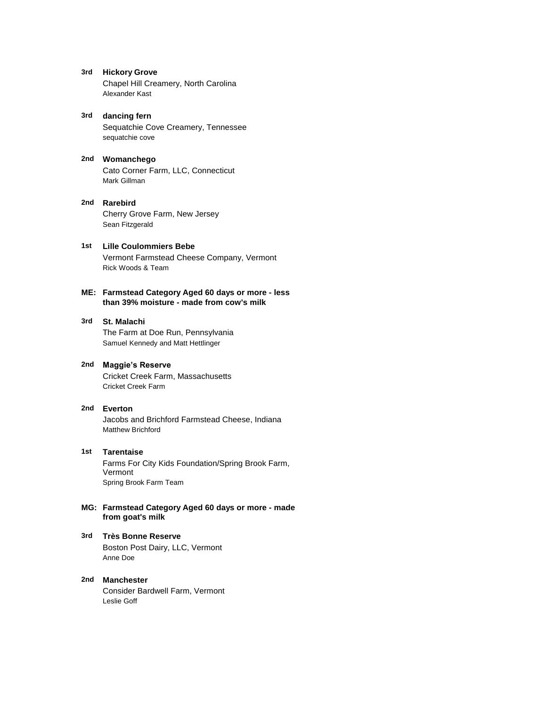- **3rd Hickory Grove** Chapel Hill Creamery, North Carolina Alexander Kast
- **3rd dancing fern** Sequatchie Cove Creamery, Tennessee sequatchie cove
- **2nd Womanchego** Cato Corner Farm, LLC, Connecticut Mark Gillman

#### **2nd Rarebird** Cherry Grove Farm, New Jersey Sean Fitzgerald

**1st Lille Coulommiers Bebe** Vermont Farmstead Cheese Company, Vermont Rick Woods & Team

# **ME: Farmstead Category Aged 60 days or more - less than 39% moisture - made from cow's milk**

#### **3rd St. Malachi**

The Farm at Doe Run, Pennsylvania Samuel Kennedy and Matt Hettlinger

#### **2nd Maggie's Reserve**

Cricket Creek Farm, Massachusetts Cricket Creek Farm

#### **2nd Everton**

Jacobs and Brichford Farmstead Cheese, Indiana Matthew Brichford

#### **1st Tarentaise**

Farms For City Kids Foundation/Spring Brook Farm, Vermont Spring Brook Farm Team

#### **MG: Farmstead Category Aged 60 days or more - made from goat's milk**

# **3rd Très Bonne Reserve**

Boston Post Dairy, LLC, Vermont Anne Doe

#### **2nd Manchester** Consider Bardwell Farm, Vermont Leslie Goff